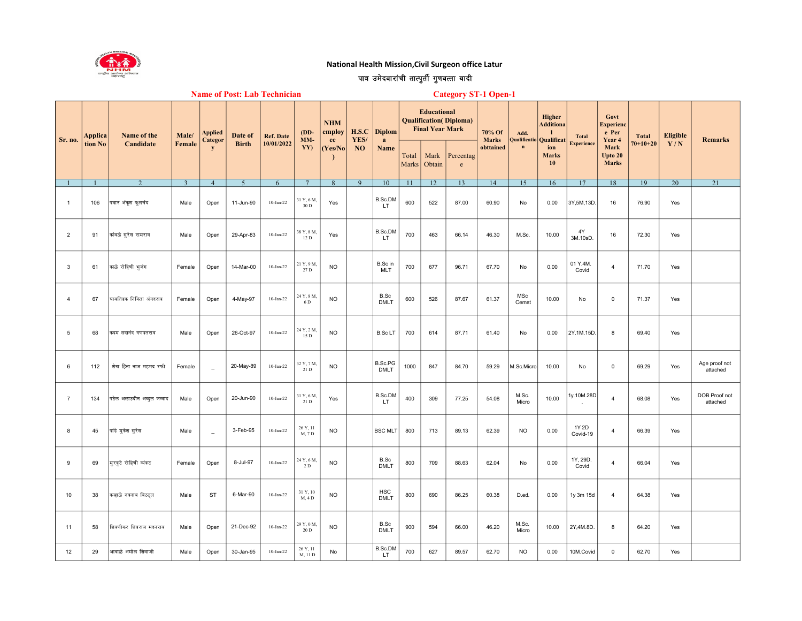

## National Health Mission,Civil Surgeon office Latur

## पात्र उमेदवारांची तात्पुर्ती गुणवत्ता यादी

| <b>Name of Post: Lab Technician</b> |  |  |  |  |  |
|-------------------------------------|--|--|--|--|--|
|-------------------------------------|--|--|--|--|--|

Category ST-1 Open-1

| Applica<br>Sr. no.<br>tion No | Name of the<br>Candidate | Male/                      | Applied<br>Categor | Date of        | <b>Ref. Date</b> | $(DD-$<br>MM- | <b>NHM</b><br>employ<br>ee | H.S.C<br>YES/ | <b>Diplom</b><br>a |                        | <b>Educational</b><br><b>Final Year Mark</b> | <b>Qualification</b> ( <i>Diploma</i> ) | 70% Of<br><b>Marks</b>    | Add.<br>Qualificatio | Higher<br><b>Additiona</b><br>Qualificat | <b>Total</b>              | Govt<br><b>Experienc</b><br>e Per<br>Year 4 | <b>Total</b>                    | Eligible       | <b>Remarks</b> |                           |
|-------------------------------|--------------------------|----------------------------|--------------------|----------------|------------------|---------------|----------------------------|---------------|--------------------|------------------------|----------------------------------------------|-----------------------------------------|---------------------------|----------------------|------------------------------------------|---------------------------|---------------------------------------------|---------------------------------|----------------|----------------|---------------------------|
|                               |                          |                            | Female             | y              | <b>Birth</b>     | 10/01/2022    | YY)                        | Yes/No        | NO                 | Name                   | Total<br>Marks                               | Mark<br>Obtain                          | Percentag<br>$\mathbf{e}$ | obttained            | $\mathbf{n}$                             | ion<br><b>Marks</b><br>10 | <b>Experience</b>                           | Mark<br>Upto 20<br><b>Marks</b> | $70 + 10 + 20$ | Y/N            |                           |
|                               |                          | $\overline{2}$             | $\overline{3}$     | $\overline{4}$ | $\overline{5}$   | 6             | $\overline{7}$             | 8             | 9                  | 10                     | -11                                          | 12                                      | 13                        | 14                   | 15                                       | 16                        | 17                                          | 18                              | 19             | 20             | $\overline{21}$           |
| $\overline{1}$                | 106                      | पवार अंकूश फुलचंद          | Male               | Open           | 11-Jun-90        | $10$ -Jan-22  | 31 Y, 6 M.<br>30 D         | Yes           |                    | B.Sc.DM<br>LT          | 600                                          | 522                                     | 87.00                     | 60.90                | No                                       | 0.00                      | 3Y,5M,13D                                   | 16                              | 76.90          | Yes            |                           |
| $\overline{2}$                | 91                       | कांबळे सरेश रामराव         | Male               | Open           | 29-Apr-83        | $10$ -Jan-22  | 38 Y, 8 M.<br>12 D         | Yes           |                    | B.Sc.DM<br>LT.         | 700                                          | 463                                     | 66.14                     | 46.30                | M.Sc.                                    | 10.00                     | 4Y<br>3M.10sD.                              | 16                              | 72.30          | Yes            |                           |
| 3                             | 61                       | काळे रोहिणी भूजंग          | Female             | Open           | 14-Mar-00        | $10-Jan-22$   | 21 Y, 9 M.<br>27 D         | <b>NO</b>     |                    | B.Sc in<br><b>MLT</b>  | 700                                          | 677                                     | 96.71                     | 67.70                | No                                       | 0.00                      | 01 Y.4M.<br>Covid                           | $\overline{4}$                  | 71.70          | Yes            |                           |
| $\overline{4}$                | 67                       | ∣घायतिडक निकिता अंगदराव    | Female             | Open           | 4-May-97         | $10-Jan-22$   | 24 Y, 8 M,<br>6 D          | <b>NO</b>     |                    | B.Sc<br><b>DMLT</b>    | 600                                          | 526                                     | 87.67                     | 61.37                | MSc<br>Cemst                             | 10.00                     | No                                          | $\mathbf{0}$                    | 71.37          | Yes            |                           |
| $\sqrt{5}$                    | 68                       | कदम सदानंद गणपतराव         | Male               | Open           | 26-Oct-97        | $10$ -Jan-22  | 24 Y, 2 M,<br>15 D         | <b>NO</b>     |                    | <b>B.ScLT</b>          | 700                                          | 614                                     | 87.71                     | 61.40                | No                                       | 0.00                      | 2Y.1M.15D.                                  | 8                               | 69.40          | Yes            |                           |
| 6                             | 112                      | शेख हिना नाज महमद रफी      | Female             | $\overline{a}$ | 20-May-89        | $10-Jan-22$   | 32 Y, 7 M.<br>21 D         | <b>NO</b>     |                    | B.Sc.PG<br><b>DMLT</b> | 1000                                         | 847                                     | 84.70                     | 59.29                | M.Sc.Micro                               | 10.00                     | No                                          | $\mathsf 0$                     | 69.29          | Yes            | Age proof not<br>attached |
| $\overline{7}$                | 134                      | पटेल अलाउदीन अब्दुल जव्वाद | Male               | Open           | 20-Jun-90        | $10-Jan-22$   | 31 Y, 6 M.<br>21 D         | Yes           |                    | B.Sc.DM<br><b>LT</b>   | 400                                          | 309                                     | 77.25                     | 54.08                | M.Sc.<br>Micro                           | 10.00                     | 1y.10M.28D                                  | $\overline{4}$                  | 68.08          | Yes            | DOB Proof not<br>attached |
| 8                             | 45                       | ∣पांडे मुकेश सुरेश         | Male               | $\sim$         | 3-Feb-95         | $10-Jan-22$   | 26 Y, 11<br>M, 7 D         | <b>NO</b>     |                    | <b>BSC MLT</b>         | 800                                          | 713                                     | 89.13                     | 62.39                | <b>NO</b>                                | 0.00                      | 1Y 2D<br>Covid-19                           | $\overline{4}$                  | 66.39          | Yes            |                           |
| 9                             | 69                       | मुरकूटे रोहिणी व्यंकट      | Female             | Open           | 8-Jul-97         | $10-Jan-22$   | 24 Y, 6 M.<br>2 D          | <b>NO</b>     |                    | B.Sc<br><b>DMLT</b>    | 800                                          | 709                                     | 88.63                     | 62.04                | No                                       | 0.00                      | 1Y, 29D.<br>Covid                           | $\overline{4}$                  | 66.04          | Yes            |                           |
| 10                            | 38                       | किन्हाळे नवनाथ विठठल       | Male               | <b>ST</b>      | 6-Mar-90         | $10-Jan-22$   | 31 Y, 10<br>M, 4 D         | <b>NO</b>     |                    | HSC<br><b>DMLT</b>     | 800                                          | 690                                     | 86.25                     | 60.38                | D.ed.                                    | 0.00                      | 1y 3m 15d                                   | $\overline{4}$                  | 64.38          | Yes            |                           |
| 11                            | 58                       | शिवणीकर शिवराज मदनराव      | Male               | Open           | 21-Dec-92        | $10$ -Jan-22  | 29 Y, 0 M,<br>20 D         | <b>NO</b>     |                    | B.Sc<br><b>DMLT</b>    | 900                                          | 594                                     | 66.00                     | 46.20                | M.Sc.<br>Micro                           | 10.00                     | 2Y,4M.8D.                                   | 8                               | 64.20          | Yes            |                           |
| 12                            | 29                       | आवाळे अमोल शिवाजी          | Male               | Open           | 30-Jan-95        | $10-Jan-22$   | 26 Y, 11<br>M, 11 D        | No            |                    | B.Sc.DM<br>LT          | 700                                          | 627                                     | 89.57                     | 62.70                | N <sub>O</sub>                           | 0.00                      | 10M.Covid                                   | 0                               | 62.70          | Yes            |                           |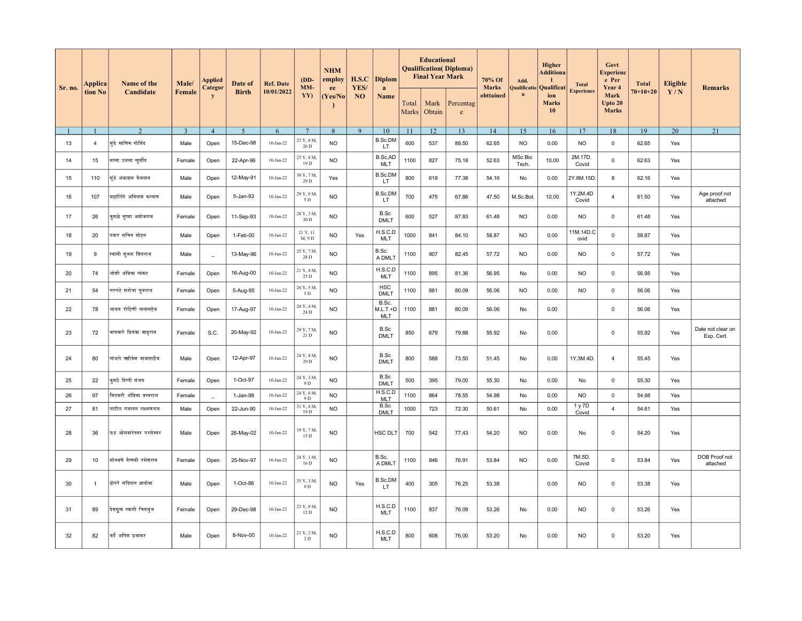| Applica<br>Sr. no.<br>tion No | Name of the    | Male/                      | <b>Applied</b><br>Categor | Date of        | <b>Ref. Date</b> | $(DD-$<br>MM-     | <b>NHM</b><br>employ<br>ee | H.S.C<br>YES/ | <b>Diplom</b><br>a |                                   | <b>Educational</b><br><b>Final Year Mark</b> | <b>Qualification</b> (Diploma) | 70% Of<br><b>Marks</b>    | Add.      | Higher<br><b>Additiona</b><br>$\mathbf{I}$<br>Qualificatio Qualificat | <b>Total</b>              | Govt<br>Experienc<br>e Per<br>Year 4 | <b>Total</b>                    | <b>Eligible</b> | <b>Remarks</b> |                                 |
|-------------------------------|----------------|----------------------------|---------------------------|----------------|------------------|-------------------|----------------------------|---------------|--------------------|-----------------------------------|----------------------------------------------|--------------------------------|---------------------------|-----------|-----------------------------------------------------------------------|---------------------------|--------------------------------------|---------------------------------|-----------------|----------------|---------------------------------|
|                               |                | Candidate                  | Female                    | y              | <b>Birth</b>     | 10/01/2022        | YY)                        | (Yes/No       | <b>NO</b>          | Name                              | Total<br>Marks                               | Mark<br>Obtain                 | Percentag<br>$\mathbf{e}$ | obttained | $\mathbf n$                                                           | ion<br><b>Marks</b><br>10 | <b>Experience</b>                    | Mark<br>Upto 20<br><b>Marks</b> | $70 + 10 + 20$  | Y/N            |                                 |
| -1                            |                | $\overline{2}$             | 3                         | $\overline{4}$ | $\overline{5}$   | 6                 | $7\phantom{.0}$            | 8             | $\mathbf{Q}$       | 10                                | 11                                           | 12                             | 13                        | 14        | 15                                                                    | 16                        | 17                                   | 18                              | 19              | 20             | $\overline{21}$                 |
| 13                            | $\overline{4}$ | मुंढे माणिक गोविंद         | Male                      | Open           | 15-Dec-98        | $10-Jan-22$       | 23 Y, 0 M,<br>26 D         | <b>NO</b>     |                    | <b>B.Sc.DM</b><br>LT.             | 600                                          | 537                            | 89.50                     | 62.65     | <b>NO</b>                                                             | 0.00                      | <b>NO</b>                            | $\mathbf 0$                     | 62.65           | Yes            |                                 |
| 14                            | 15             | सय्य्द उजमा खर्सीद         | Female                    | Open           | 22-Apr-96        | $10-Jan-22$       | 25 Y, 8 M,<br>19 D         | <b>NO</b>     |                    | B.Sc,AD<br><b>MLT</b>             | 1100                                         | 827                            | 75.18                     | 52.63     | MSc Bio<br>Tech.                                                      | 10.00                     | 2M.17D.<br>Covid                     | $\mathbf 0$                     | 62.63           | Yes            |                                 |
| 15                            | 110            | मंडे अंबादास वैजनाथ        | Male                      | Open           | 12-May-91        | $10-Jan-22$       | 30 Y, 7 M,<br>29 D         | Yes           |                    | B.Sc.DM<br>LT.                    | 800                                          | 619                            | 77.38                     | 54.16     | No                                                                    | 0.00                      | 2Y.8M.15D                            | 8                               | 62.16           | Yes            |                                 |
| 16                            | 107            | महालिंगे अविनाश कल्याण     | Male                      | Open           | 5-Jan-93         | $10-Jan-22$       | 29 Y, 0 M,<br>5 D          | <b>NO</b>     |                    | B.Sc.DM<br>LT.                    | 700                                          | 475                            | 67.86                     | 47.50     | M.Sc.Bot.                                                             | 10.00                     | 1Y.2M.4D<br>Covid                    | $\overline{4}$                  | 61.50           | Yes            | Age proof not<br>attached       |
| 17                            | 26             | कुसळे सुष्मा अशोकराव       | Female                    | Open           | 11-Sep-93        | $10-Jan-22$       | 28 Y, 3 M,<br>30 D         | <b>NO</b>     |                    | B.Sc<br><b>DMLT</b>               | 600                                          | 527                            | 87.83                     | 61.48     | <b>NO</b>                                                             | 0.00                      | <b>NO</b>                            | $\mathbf 0$                     | 61.48           | Yes            |                                 |
| 18                            | 20             | पवार सचिन मोहन             | Male                      | Open           | 1-Feb-00         | $10$ -Jan-22      | 21 Y, 11<br>M, 9 D         | <b>NO</b>     | Yes                | H.S.C.D<br><b>MLT</b>             | 1000                                         | 841                            | 84.10                     | 58.87     | <b>NO</b>                                                             | 0.00                      | 11M.14D.C<br>ovid                    | $\mathsf 0$                     | 58.87           | Yes            |                                 |
| 19                            | 9              | स्वामी शुभम शिवराज         | Male                      | $\overline{a}$ | 13-May-96        | $10$ -Jan-22      | 25 Y, 7 M,<br>28 D         | <b>NO</b>     |                    | B.Sc.<br>A DMLT                   | 1100                                         | 907                            | 82.45                     | 57.72     | <b>NO</b>                                                             | 0.00                      | <b>NO</b>                            | $\mathbf 0$                     | 57.72           | Yes            |                                 |
| 20                            | 74             | जोशी अंबिका व्यंकट         | Female                    | Open           | 16-Aug-00        | $10-Jan-22$       | 21 Y, 4 M,<br>25 D         | <b>NO</b>     |                    | H.S.C.D<br><b>MLT</b>             | 1100                                         | 895                            | 81.36                     | 56.95     | No                                                                    | 0.00                      | <b>NO</b>                            | $\mathbf 0$                     | 56.95           | Yes            |                                 |
| 21                            | 54             | गरगटे सरोजा युवराज         | Female                    | Open           | 5-Aug-95         | $10$ -Jan-22 $\,$ | 26 Y, 5 M,<br>5 D          | <b>NO</b>     |                    | <b>HSC</b><br><b>DMLT</b>         | 1100                                         | 881                            | 80.09                     | 56.06     | <b>NO</b>                                                             | 0.00                      | <b>NO</b>                            | $\mathbf 0$                     | 56.06           | Yes            |                                 |
| 22                            | 78             | जाधव रोहिणी नानासहेब       | Female                    | Open           | 17-Aug-97        | $10-Jan-22$       | 24 Y, 4 M,<br>24 D         | <b>NO</b>     |                    | B.Sc.<br>$M.L.T.+D$<br><b>MLT</b> | 1100                                         | 881                            | 80.09                     | 56.06     | No                                                                    | 0.00                      |                                      | $\mathbf 0$                     | 56.06           | Yes            |                                 |
| 23                            | 72             | वाघमारे प्रियंका वाबराव    | Female                    | S.C.           | 20-May-92        | $10-Jan-22$       | 29 Y, 7 M,<br>21 D         | <b>NO</b>     |                    | B.Sc<br><b>DMLT</b>               | 850                                          | 679                            | 79.88                     | 55.92     | No                                                                    | 0.00                      |                                      | $\mathsf 0$                     | 55.92           | Yes            | Date not clear on<br>Exp. Cert. |
| 24                            | 80             | गांधले ऋगिकेश वावासाहेब    | Male                      | Open           | 12-Apr-97        | $10-Jan-22$       | 24 Y, 8 M,<br>29 D         | <b>NO</b>     |                    | B.Sc<br><b>DMLT</b>               | 800                                          | 588                            | 73.50                     | 51.45     | No                                                                    | 0.00                      | 1Y.3M.4D.                            | $\overline{4}$                  | 55.45           | Yes            |                                 |
| 25                            | 22             | कमठे दिप्ती संजय           | Female                    | Open           | 1-Oct-97         | $10-Jan-22$       | 24 Y, 3 M,<br>9 D          | <b>NO</b>     |                    | B.Sc<br><b>DMLT</b>               | 500                                          | 395                            | 79.00                     | 55.30     | No                                                                    | 0.00                      | No                                   | $\mathbf 0$                     | 55.30           | Yes            |                                 |
| 26                            | 97             | .<br>मिटकरी अंबिका बस्वराज | Female                    |                | 1-Jan-98         | $10-Jan-22$       | 24 Y, 0 M,<br>9 D          | <b>NO</b>     |                    | H.S.C.D<br><b>MLT</b>             | 1100                                         | 864                            | 78.55                     | 54.98     | No                                                                    | 0.00                      | <b>NO</b>                            | $\mathbf 0$                     | 54.98           | Yes            |                                 |
| 27                            | 81             | पाटील गजानन लक्ष्मणराव     | Male                      | Open           | 22-Jun-90        | $10$ -Jan-22 $\,$ | 31 Y, 6 M,<br>19 D         | <b>NO</b>     |                    | B.Sc<br><b>DMLT</b>               | 1000                                         | 723                            | 72.30                     | 50.61     | No                                                                    | 0.00                      | 1 y 7D<br>Covid                      | $\overline{4}$                  | 54.61           | Yes            |                                 |
| 28                            | 36             | फड ओमकारेश्वर परमेश्वर     | Male                      | Open           | 26-May-02        | $10$ -Jan-22      | 19 Y, 7 M,<br>15 D         | <b>NO</b>     |                    | HSC DLT                           | 700                                          | 542                            | 77.43                     | 54.20     | <b>NO</b>                                                             | 0.00                      | No                                   | $\mathbf 0$                     | 54.20           | Yes            |                                 |
| 29                            | 10             | सोनवणे वैष्णवी रमेशराव     | Female                    | Open           | 25-Nov-97        | $10-Jan-22$       | 24 Y, 1 M,<br>16 D         | <b>NO</b>     |                    | B.Sc.<br>A DMLT                   | 1100                                         | 846                            | 76.91                     | 53.84     | <b>NO</b>                                                             | 0.00                      | 7M.5D.<br>Covid                      | $\mathbf 0$                     | 53.84           | Yes            | DOB Proof not<br>attached       |
| 30                            | $\mathbf{1}$   | ढोपरे संदिपान ज्ञानोवा     | Male                      | Open           | 1-Oct-86         | $10-Jan-22$       | 35 Y, 3 M,<br>9 D          | <b>NO</b>     | Yes                | B.Sc.DM<br>LT.                    | 400                                          | 305                            | 76.25                     | 53.38     |                                                                       | 0.00                      | <b>NO</b>                            | $\mathbf 0$                     | 53.38           | Yes            |                                 |
| 31                            | 89             | देशमुख स्वाती चित्रभुज     | Female                    | Open           | 29-Dec-98        | $10$ -Jan-22      | 23 Y, 0 M,<br>12 D         | <b>NO</b>     |                    | H.S.C.D<br><b>MLT</b>             | 1100                                         | 837                            | 76.09                     | 53.26     | No                                                                    | 0.00                      | <b>NO</b>                            | $\mathsf 0$                     | 53.26           | Yes            |                                 |
| 32                            | 82             | कर्पे अषिश प्रभाकर         | Male                      | Open           | 8-Nov-00         | $10-Jan-22$       | 21 Y, 2 M,<br>2 D          | <b>NO</b>     |                    | H.S.C.D<br><b>MLT</b>             | 800                                          | 608                            | 76.00                     | 53.20     | No                                                                    | 0.00                      | <b>NO</b>                            | $\mathbf 0$                     | 53.20           | Yes            |                                 |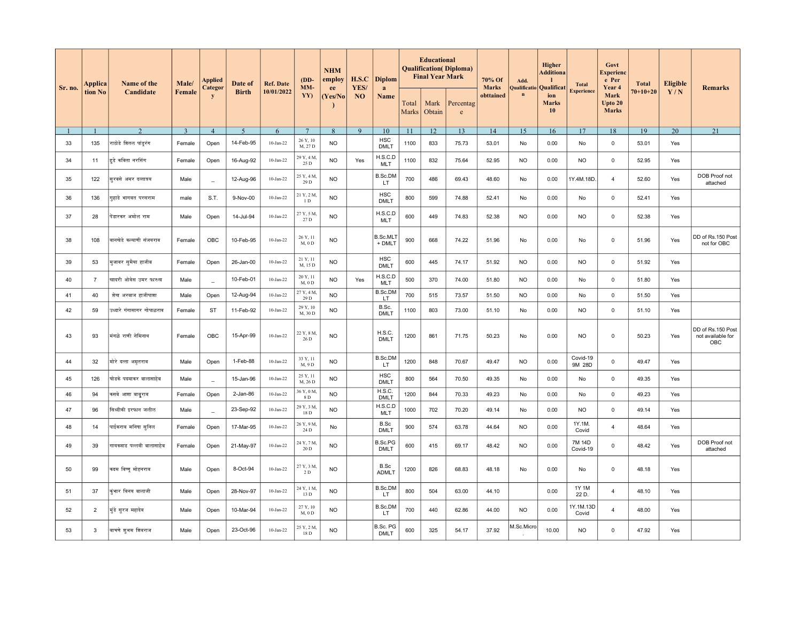| Sr. no. | Applica        | Name of the               | Male/          | <b>Applied</b><br>Categor | Date of        | <b>Ref. Date</b> | $(DD-$<br>MM-        | <b>NHM</b><br>employ<br>ee | H.S.C<br>YES/ | <b>Diplom</b><br>a            |                | <b>Educational</b><br><b>Final Year Mark</b> | <b>Qualification</b> ( <i>Diploma</i> ) | 70% Of<br><b>Marks</b> | Add.       | <b>Higher</b><br><b>Additiona</b><br>Qualificatio   Qualificat | <b>Total</b>       | Govt<br><b>Experienc</b><br>e Per<br>Year 4 | <b>Total</b> | <b>Eligible</b> | <b>Remarks</b>                                |
|---------|----------------|---------------------------|----------------|---------------------------|----------------|------------------|----------------------|----------------------------|---------------|-------------------------------|----------------|----------------------------------------------|-----------------------------------------|------------------------|------------|----------------------------------------------------------------|--------------------|---------------------------------------------|--------------|-----------------|-----------------------------------------------|
|         | tion No        | Candidate                 | <b>Female</b>  | y                         | <b>Birth</b>   | 10/01/2022       | YY)                  | (Yes/No                    | NO            | Name                          | Total<br>Marks | Mark<br>Obtain                               | Percentag<br>$\rm e$                    | obttained              | $\bf n$    | ion<br><b>Marks</b><br>10                                      | <b>Experience</b>  | Mark<br>Upto 20<br><b>Marks</b>             | $70+10+20$   | Y/N             |                                               |
|         |                | $\overline{2}$            | $\overline{3}$ | $\overline{4}$            | $\overline{5}$ | 6                | $7\phantom{.0}$      | 8                          | 9             | 10                            | 11             | 12                                           | 13                                      | 14                     | 15         | 16                                                             | 17                 | 18                                          | 19           | 20              | 21                                            |
| 33      | 135            | राठोडे शितल पांडूरंग      | Female         | Open                      | 14-Feb-95      | $10-Jan-22$      | 26 Y, 10<br>M, 27 D  | <b>NO</b>                  |               | <b>HSC</b><br><b>DMLT</b>     | 1100           | 833                                          | 75.73                                   | 53.01                  | No         | 0.00                                                           | No                 | $\mathbf 0$                                 | 53.01        | Yes             |                                               |
| 34      | 11             | हुडे कविता नरसिंग         | Female         | Open                      | 16-Aug-92      | $10-Jan-22$      | 29 Y, 4 M,<br>25 D   | <b>NO</b>                  | Yes           | H.S.C.D<br><b>MLT</b>         | 1100           | 832                                          | 75.64                                   | 52.95                  | <b>NO</b>  | 0.00                                                           | <b>NO</b>          | $\mathbf 0$                                 | 52.95        | Yes             |                                               |
| 35      | 122            | सुरवसे अमर दत्तात्रय      | Male           | $\overline{a}$            | 12-Aug-96      | $10-Jan-22$      | 25 Y, 4 M,<br>29 D   | <b>NO</b>                  |               | B.Sc.DM<br>LT.                | 700            | 486                                          | 69.43                                   | 48.60                  | No         | 0.00                                                           | 1Y.4M.18D          | 4                                           | 52.60        | Yes             | DOB Proof not<br>attached                     |
| 36      | 136            | गुहाडे भागवत परसराम       | male           | S.T.                      | 9-Nov-00       | $10-Jan-22$      | 21 Y, 2 M,<br>1D     | <b>NO</b>                  |               | <b>HSC</b><br><b>DMLT</b>     | 800            | 599                                          | 74.88                                   | 52.41                  | No         | 0.00                                                           | No                 | $\mathsf 0$                                 | 52.41        | Yes             |                                               |
| 37      | 28             | पेंडारकर अमोल राम         | Male           | Open                      | 14-Jul-94      | $10-Jan-22$      | 27 Y, 5 M,<br>27 D   | <b>NO</b>                  |               | H.S.C.D<br><b>MLT</b>         | 600            | 449                                          | 74.83                                   | 52.38                  | <b>NO</b>  | 0.00                                                           | <b>NO</b>          | $\mathsf 0$                                 | 52.38        | Yes             |                                               |
| 38      | 108            | वानखेडे कल्याणी संजयराव   | Female         | OBC                       | 10-Feb-95      | $10$ -Jan-22     | 26 Y, 11<br>M, 0 D   | <b>NO</b>                  |               | <b>B.Sc.MLT</b><br>+ DMLT     | 900            | 668                                          | 74.22                                   | 51.96                  | No         | 0.00                                                           | No                 | $\mathbf 0$                                 | 51.96        | Yes             | DD of Rs.150 Post<br>not for OBC              |
| 39      | 53             | मुजावर सुमैया हाजीब       | Female         | Open                      | 26-Jan-00      | $10$ -Jan-22     | 21 Y, 11<br>M, 15 D  | <b>NO</b>                  |               | <b>HSC</b><br><b>DMLT</b>     | 600            | 445                                          | 74.17                                   | 51.92                  | <b>NO</b>  | 0.00                                                           | <b>NO</b>          | $\mathbf 0$                                 | 51.92        | Yes             |                                               |
| 40      | $\overline{7}$ | खादरी ओवेस उमर फारुख      | Male           | $\sim$                    | 10-Feb-01      | $10-Jan-22$      | 20 Y, 11<br>M, 0 D   | <b>NO</b>                  | Yes           | H.S.C.D<br><b>MLT</b>         | 500            | 370                                          | 74.00                                   | 51.80                  | <b>NO</b>  | 0.00                                                           | No                 | $\mathbf 0$                                 | 51.80        | Yes             |                                               |
| 41      | 40             | शेख अरवाज हाजीपाशा        | Male           | Open                      | 12-Aug-94      | $10$ -Jan-22     | 27 Y, 4 M,<br>29 D   | <b>NO</b>                  |               | B.Sc.DM<br>LT.                | 700            | 515                                          | 73.57                                   | 51.50                  | <b>NO</b>  | 0.00                                                           | No                 | $\mathbf 0$                                 | 51.50        | Yes             |                                               |
| 42      | 59             | उध्दारे गंगासागर गोपाळराव | Female         | <b>ST</b>                 | 11-Feb-92      | $10$ -Jan-22     | 29 Y, 10<br>M, 30 D  | <b>NO</b>                  |               | B.Sc.<br><b>DMLT</b>          | 1100           | 803                                          | 73.00                                   | 51.10                  | No         | 0.00                                                           | <b>NO</b>          | $\mathbf 0$                                 | 51.10        | Yes             |                                               |
| 43      | 93             | मंगळे राणी नेमिनाथ        | Female         | OBC                       | 15-Apr-99      | $10-Jan-22$      | 22 Y, 8 M,<br>26 D   | <b>NO</b>                  |               | H.S.C.<br><b>DMLT</b>         | 1200           | 861                                          | 71.75                                   | 50.23                  | No         | 0.00                                                           | <b>NO</b>          | $\mathsf 0$                                 | 50.23        | Yes             | DD of Rs.150 Post<br>not available for<br>OBC |
| 44      | 32             | मोरे दत्ता अमृतराव        | Male           | Open                      | 1-Feb-88       | $10-Jan-22$      | 33 Y, 11<br>M, 9 D   | <b>NO</b>                  |               | B.Sc.DM<br>LT.                | 1200           | 848                                          | 70.67                                   | 49.47                  | <b>NO</b>  | 0.00                                                           | Covid-19<br>9M 28D | $\mathbf 0$                                 | 49.47        | Yes             |                                               |
| 45      | 126            | घोडके पदमाकर वालासाहेब    | Male           | $\sim$                    | 15-Jan-96      | $10-Jan-22$      | 25 Y, 11<br>M, 26 D  | <b>NO</b>                  |               | <b>HSC</b><br><b>DMLT</b>     | 800            | 564                                          | 70.50                                   | 49.35                  | No         | 0.00                                                           | No                 | $\mathsf 0$                                 | 49.35        | Yes             |                                               |
| 46      | 94             | कसबे आशा बाबुराव          | Female         | Open                      | 2-Jan-86       | $10-Jan-22$      | 36 Y, 0 M,<br>8 D    | <b>NO</b>                  |               | H.S.C.<br><b>DMLT</b>         | 1200           | 844                                          | 70.33                                   | 49.23                  | No         | 0.00                                                           | No                 | $\mathbf 0$                                 | 49.23        | Yes             |                                               |
| 47      | 96             | सिध्दीकी इरफान जलील       | Male           | $\overline{\phantom{a}}$  | 23-Sep-92      | $10$ -Jan-22     | 29 Y, 3 M,<br>18 D   | <b>NO</b>                  |               | H.S.C.D<br><b>MLT</b>         | 1000           | 702                                          | 70.20                                   | 49.14                  | No         | 0.00                                                           | <b>NO</b>          | $\mathsf 0$                                 | 49.14        | Yes             |                                               |
| 48      | 14             | पाईकराव मनिषा सुनिल       | Female         | Open                      | 17-Mar-95      | $10-Jan-22$      | 26 Y, 9 M,<br>24 D   | No                         |               | B.Sc<br><b>DMLT</b>           | 900            | 574                                          | 63.78                                   | 44.64                  | <b>NO</b>  | 0.00                                                           | 1Y.1M.<br>Covid    | 4                                           | 48.64        | Yes             |                                               |
| 49      | 39             | गायकवाड पल्लवी बालासाहेब  | Female         | Open                      | 21-May-97      | $10$ -Jan-22     | 24 Y, 7 M,<br>20 D   | <b>NO</b>                  |               | <b>B.Sc.PG</b><br><b>DMLT</b> | 600            | 415                                          | 69.17                                   | 48.42                  | <b>NO</b>  | 0.00                                                           | 7M 14D<br>Covid-19 | $\mathbf 0$                                 | 48.42        | Yes             | DOB Proof not<br>attached                     |
| 50      | 99             | कदम विष्णु मोहनराव        | Male           | Open                      | 8-Oct-94       | $10-Jan-22$      | 27 Y, 3 M,<br>2 D    | <b>NO</b>                  |               | B.Sc<br><b>ADMLT</b>          | 1200           | 826                                          | 68.83                                   | 48.18                  | No         | 0.00                                                           | No                 | $\mathsf 0$                                 | 48.18        | Yes             |                                               |
| 51      | 37             | कुंभार विनय वालाजी        | Male           | Open                      | 28-Nov-97      | $10-Jan-22$      | 24 Y, 1 M,<br>13 D   | <b>NO</b>                  |               | B.Sc.DM<br>LT.                | 800            | 504                                          | 63.00                                   | 44.10                  |            | 0.00                                                           | 1Y 1M<br>22 D.     | $\overline{4}$                              | 48.10        | Yes             |                                               |
| 52      | $\overline{2}$ | मिंडे सरज महादेव          | Male           | Open                      | 10-Mar-94      | $10-Jan-22$      | 27 Y, 10<br>$M, 0$ D | <b>NO</b>                  |               | B.Sc.DM<br>LT                 | 700            | 440                                          | 62.86                                   | 44.00                  | <b>NO</b>  | 0.00                                                           | 1Y.1M.13D<br>Covid | $\overline{4}$                              | 48.00        | Yes             |                                               |
| 53      | 3              | वाचणे शुभम शिवराज         | Male           | Open                      | 23-Oct-96      | $10-Jan-22$      | 25 Y, 2 M,<br>18 D   | <b>NO</b>                  |               | B.Sc. PG<br><b>DMLT</b>       | 600            | 325                                          | 54.17                                   | 37.92                  | M.Sc.Micro | 10.00                                                          | <b>NO</b>          | $\mathsf 0$                                 | 47.92        | Yes             |                                               |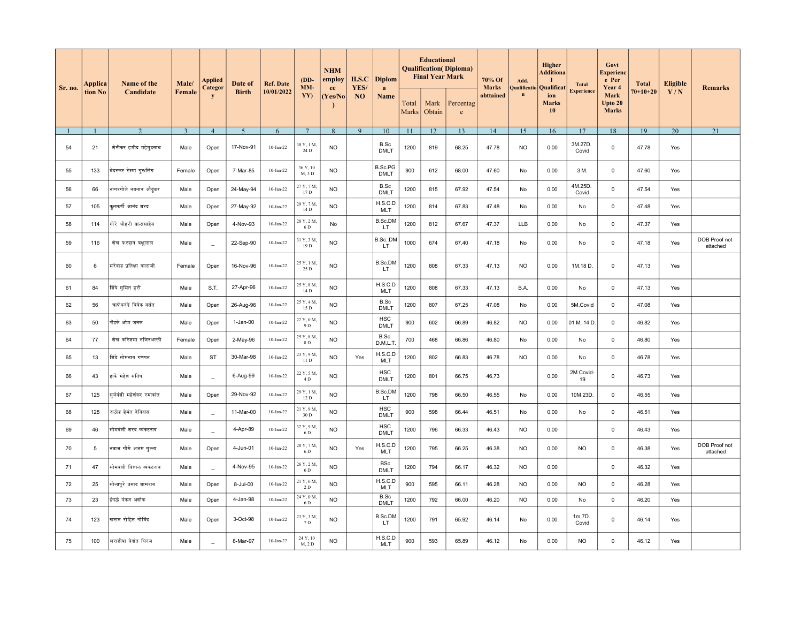| Applica<br>Sr. no.<br>tion No | Name of the<br>Candidate | Male/                     | Applied | Date of                  | <b>Ref. Date</b> | $(DD-$<br>MM-     | <b>NHM</b><br>employ<br>ee | H.S.C<br>YES/ | <b>Diplom</b><br>$\mathbf{a}$ |                               | <b>Educational</b><br><b>Final Year Mark</b> | <b>Qualification</b> ( <i>Diploma</i> ) | 70% Of<br><b>Marks</b>    | Add.<br><b>Qualificatio</b> | Higher<br>Additiona<br>$\mathbf{I}$<br>Qualificat | <b>Total</b>              | Govt<br>Experienc<br>e Per<br>Year 4 | <b>Total</b>                    | <b>Eligible</b> | <b>Remarks</b> |                           |
|-------------------------------|--------------------------|---------------------------|---------|--------------------------|------------------|-------------------|----------------------------|---------------|-------------------------------|-------------------------------|----------------------------------------------|-----------------------------------------|---------------------------|-----------------------------|---------------------------------------------------|---------------------------|--------------------------------------|---------------------------------|-----------------|----------------|---------------------------|
|                               |                          |                           | Female  | Categor<br>$\mathbf{y}$  | <b>Birth</b>     | 10/01/2022        | YY)                        | (Yes/No       | NO                            | Name                          | Total<br>Marks                               | Mark<br>Obtain                          | Percentag<br>$\mathbf{e}$ | obttained                   | $\mathbf n$                                       | ion<br><b>Marks</b><br>10 | <b>Experience</b>                    | Mark<br>Upto 20<br><b>Marks</b> | $70 + 10 + 20$  | Y/N            |                           |
|                               |                          | 2                         | 3       | $\overline{4}$           | 5                | 6                 | 7                          | 8             | 9                             | 10                            | -11                                          | 12                                      | 13                        | 14                          | 15                                                | 16                        | 17                                   | 18                              | 19              | 20             | $\overline{21}$           |
| 54                            | 21                       | शेरीकर हमीद महेमुदसाब     | Male    | Open                     | 17-Nov-91        | $10-Jan-22$       | 30 Y, 1 M,<br>24 D         | <b>NO</b>     |                               | B.Sc<br><b>DMLT</b>           | 1200                                         | 819                                     | 68.25                     | 47.78                       | NO.                                               | 0.00                      | 3M.27D.<br>Covid                     | 0                               | 47.78           | Yes            |                           |
| 55                            | 133                      | बेदरकर रेश्मा गुरुलिंग    | Female  | Open                     | 7-Mar-85         | 10-Jan-22         | 36 Y, 10<br>M, 3 D         | <b>NO</b>     |                               | <b>B.Sc.PG</b><br><b>DMLT</b> | 900                                          | 612                                     | 68.00                     | 47.60                       | No                                                | 0.00                      | 3 M.                                 | $\mathbf 0$                     | 47.60           | Yes            |                           |
| 56                            | 66                       | नागरगोजे नवनाथ औदुंबर     | Male    | Open                     | 24-May-94        | $10-Jan-22$       | 27 Y, 7 M,<br>17 D         | <b>NO</b>     |                               | B.Sc<br><b>DMLT</b>           | 1200                                         | 815                                     | 67.92                     | 47.54                       | No                                                | 0.00                      | 4M.25D.<br>Covid                     | 0                               | 47.54           | Yes            |                           |
| 57                            | 105                      | कुलकर्णी आनंद शरद         | Male    | Open                     | 27-May-92        | $10-Jan-22$       | 29 Y, 7 M,<br>14 D         | <b>NO</b>     |                               | H.S.C.D<br><b>MLT</b>         | 1200                                         | 814                                     | 67.83                     | 47.48                       | No                                                | 0.00                      | No                                   | $\mathbf 0$                     | 47.48           | Yes            |                           |
| 58                            | 114                      | गोरे श्रीहरी बालासाहेब    | Male    | Open                     | 4-Nov-93         | 10-Jan-22         | 28 Y, 2 M,<br>6 D          | No            |                               | B.Sc.DM<br>LT.                | 1200                                         | 812                                     | 67.67                     | 47.37                       | <b>LLB</b>                                        | 0.00                      | No                                   | $\mathbf 0$                     | 47.37           | Yes            |                           |
| 59                            | 116                      | शेख फरहान बक्षुलाल        | Male    | $\frac{1}{2}$            | 22-Sep-90        | $10-Jan-22$       | 31 Y, 3 M,<br>19 D         | <b>NO</b>     |                               | B.Sc.,DM<br>LT                | 1000                                         | 674                                     | 67.40                     | 47.18                       | No                                                | 0.00                      | No                                   | $\mathsf 0$                     | 47.18           | Yes            | DOB Proof not<br>attached |
| 60                            | 6                        | मरेवाड प्रतिक्षा वालाजी   | Female  | Open                     | 16-Nov-96        | $10$ -Jan-22      | 25 Y, 1 M,<br>25D          | <b>NO</b>     |                               | B.Sc.DM<br>LT.                | 1200                                         | 808                                     | 67.33                     | 47.13                       | <b>NO</b>                                         | 0.00                      | 1M.18 D.                             | $\mathbf 0$                     | 47.13           | Yes            |                           |
| 61                            | 84                       | शिंदे सुमित हरी           | Male    | S.T.                     | 27-Apr-96        | $10-Jan-22$       | 25 Y, 8 M,<br>14 D         | <b>NO</b>     |                               | H.S.C.D<br>MLT                | 1200                                         | 808                                     | 67.33                     | 47.13                       | B.A.                                              | 0.00                      | No                                   | $\mathbf 0$                     | 47.13           | Yes            |                           |
| 62                            | 56                       | चाफेकरंडे विवेक वसंत      | Male    | Open                     | 26-Aug-96        | 10-Jan-22         | 25 Y, 4 M,<br>15 D         | <b>NO</b>     |                               | B.Sc<br><b>DMLT</b>           | 1200                                         | 807                                     | 67.25                     | 47.08                       | No                                                | 0.00                      | 5M.Covid                             | $\mathsf 0$                     | 47.08           | Yes            |                           |
| 63                            | 50                       | चेंडके ओम जनक             | Male    | Open                     | $1-Jan-00$       | $10-Jan-22$       | 22 Y, 0 M,<br>9 D          | <b>NO</b>     |                               | <b>HSC</b><br><b>DMLT</b>     | 900                                          | 602                                     | 66.89                     | 46.82                       | <b>NO</b>                                         | 0.00                      | 01 M. 14 D.                          | $\mathbf 0$                     | 46.82           | Yes            |                           |
| 64                            | 77                       | शेख करिशमा नजिरअल्ली      | Female  | Open                     | 2-May-96         | $10-Ian-22$       | 25 Y, 8 M,<br>8 D          | <b>NO</b>     |                               | B.Sc.<br>D.M.L.T.             | 700                                          | 468                                     | 66.86                     | 46.80                       | No                                                | 0.00                      | No                                   | 0                               | 46.80           | Yes            |                           |
| 65                            | 13                       | शिंदे सोमनाथ गणपत         | Male    | <b>ST</b>                | 30-Mar-98        | $10-Jan-22$       | 23 Y, 9 M,<br>11 D         | <b>NO</b>     | Yes                           | H.S.C.D<br><b>MLT</b>         | 1200                                         | 802                                     | 66.83                     | 46.78                       | <b>NO</b>                                         | 0.00                      | No                                   | $\mathsf 0$                     | 46.78           | Yes            |                           |
| 66                            | 43                       | हाके महेश सतिष            | Male    | $\equiv$                 | 6-Aug-99         | $10-Jan-22$       | 22 Y, 5 M,<br>4 D          | <b>NO</b>     |                               | <b>HSC</b><br><b>DMLT</b>     | 1200                                         | 801                                     | 66.75                     | 46.73                       |                                                   | 0.00                      | 2M Covid-<br>19                      | $\mathbf 0$                     | 46.73           | Yes            |                           |
| 67                            | 125                      | सुर्यवंशी महेशंकर रमाकांत | Male    | Open                     | 29-Nov-92        | $10-Jan-22$       | 29 Y, 1 M,<br>12 D         | <b>NO</b>     |                               | B.Sc.DM<br>LT.                | 1200                                         | 798                                     | 66.50                     | 46.55                       | No                                                | 0.00                      | 10M.23D.                             | $\mathbf 0$                     | 46.55           | Yes            |                           |
| 68                            | 128                      | राठोड हेमंत देविदास       | Male    | $\equiv$                 | 11-Mar-00        | $10$ -Jan-22      | 21 Y, 9 M,<br>30 D         | <b>NO</b>     |                               | <b>HSC</b><br><b>DMLT</b>     | 900                                          | 598                                     | 66.44                     | 46.51                       | No                                                | 0.00                      | No                                   | 0                               | 46.51           | Yes            |                           |
| 69                            | 46                       | सोमवंशी शरद व्यंकटराव     | Male    | $\equiv$                 | 4-Apr-89         | $10-Jan-22$       | 32 Y, 9 M,<br>6 D          | <b>NO</b>     |                               | <b>HSC</b><br><b>DMLT</b>     | 1200                                         | 796                                     | 66.33                     | 46.43                       | <b>NO</b>                                         | 0.00                      |                                      | $\mathbf 0$                     | 46.43           | Yes            |                           |
| 70                            | 5                        | नवाज गौसे अजम मुल्ला      | Male    | Open                     | 4-Jun-01         | $10-Jan-22$       | 20 Y, 7 M,<br>6 D          | <b>NO</b>     | Yes                           | H.S.C.D<br>MLT                | 1200                                         | 795                                     | 66.25                     | 46.38                       | <b>NO</b>                                         | 0.00                      | <b>NO</b>                            | $\mathbf 0$                     | 46.38           | Yes            | DOB Proof not<br>attached |
| 71                            | 47                       | सोमवंशी विशाल व्यंकटराव   | Male    | $\equiv$                 | 4-Nov-95         | 10-Jan-22         | 26 Y, 2 M,<br>6 D          | <b>NO</b>     |                               | <b>BSc</b><br><b>DMLT</b>     | 1200                                         | 794                                     | 66.17                     | 46.32                       | <b>NO</b>                                         | 0.00                      |                                      | $\mathbf 0$                     | 46.32           | Yes            |                           |
| 72                            | 25                       | सोलापुरे प्रसाद शामराव    | Male    | Open                     | 8-Jul-00         | $10$ -Jan-22      | 21 Y, 6 M,<br>2 D          | <b>NO</b>     |                               | H.S.C.D<br><b>MLT</b>         | 900                                          | 595                                     | 66.11                     | 46.28                       | <b>NO</b>                                         | 0.00                      | <b>NO</b>                            | $\mathsf 0$                     | 46.28           | Yes            |                           |
| 73                            | 23                       | डंगळे पंकज अशोक           | Male    | Open                     | 4-Jan-98         | 10-Jan-22         | 24 Y, 0 M,<br>6 D          | <b>NO</b>     |                               | B.Sc<br><b>DMLT</b>           | 1200                                         | 792                                     | 66.00                     | 46.20                       | <b>NO</b>                                         | 0.00                      | No                                   | $\mathbf 0$                     | 46.20           | Yes            |                           |
| 74                            | 123                      | खरात रोहित गोविंद         | Male    | Open                     | 3-Oct-98         | $10$ -Jan-22 $\,$ | 23 Y, 3 M,<br>7 D          | <b>NO</b>     |                               | B.Sc.DM<br>LT                 | 1200                                         | 791                                     | 65.92                     | 46.14                       | No                                                | 0.00                      | 1m.7D.<br>Covid                      | $\mathsf 0$                     | 46.14           | Yes            |                           |
| 75                            | 100                      | भराडीया वेदांत धिरज       | Male    | $\overline{\phantom{a}}$ | 8-Mar-97         | $10$ -Jan-22      | 24 Y, 10<br>M, 2 D         | <b>NO</b>     |                               | H.S.C.D<br>MLT                | 900                                          | 593                                     | 65.89                     | 46.12                       | No                                                | 0.00                      | <b>NO</b>                            | $\mathbf 0$                     | 46.12           | Yes            |                           |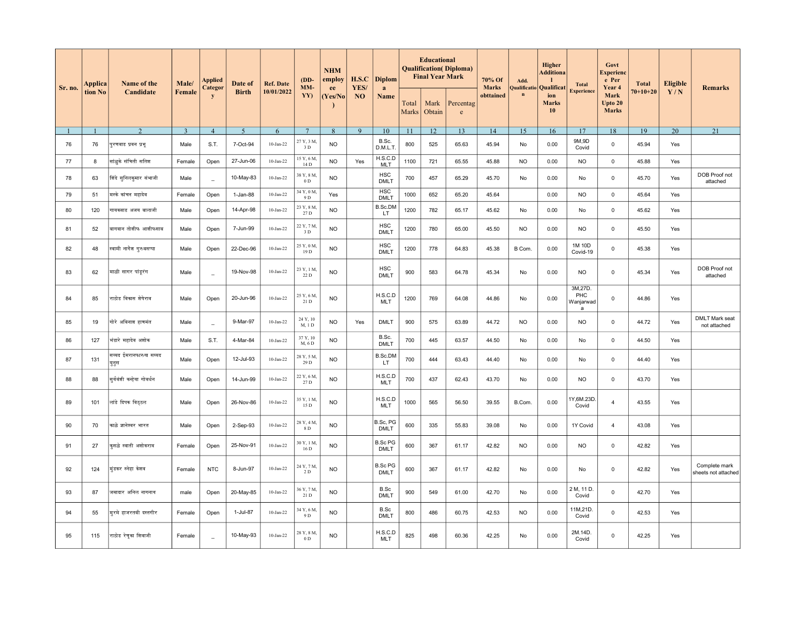| Sr. no. | Applica | Name of the                     | Male/          | Applied<br>Categor       | Date of        | <b>Ref. Date</b> | $(DD-$<br>MM-              | <b>NHM</b><br>employ<br>ee | H.S.C<br>YES/ | <b>Diplom</b><br>a            |                | <b>Educational</b><br><b>Final Year Mark</b> | <b>Qualification</b> ( <i>Diploma</i> ) | 70% Of<br><b>Marks</b> | Add.<br><b>Qualificatio</b> | Higher<br><b>Additiona</b><br>$\mathbf{I}$<br>Qualificat | <b>Total</b>                     | Govt<br>Experienc<br>e Per<br>Year 4 | <b>Total</b>   | <b>Eligible</b>               | <b>Remarks</b>                        |
|---------|---------|---------------------------------|----------------|--------------------------|----------------|------------------|----------------------------|----------------------------|---------------|-------------------------------|----------------|----------------------------------------------|-----------------------------------------|------------------------|-----------------------------|----------------------------------------------------------|----------------------------------|--------------------------------------|----------------|-------------------------------|---------------------------------------|
|         | tion No | Candidate                       | Female         | $\mathbf{y}$             | <b>Birth</b>   | 10/01/2022       | YY)                        | (Yes/No                    | NO            | Name                          | Total<br>Marks | Mark<br>Obtain                               | Percentag<br>$\mathbf{e}$               | obttained              | $\mathbf n$                 | ion<br><b>Marks</b><br>10                                | <b>Experience</b>                | Mark<br>Upto 20<br><b>Marks</b>      | $70 + 10 + 20$ | Y/N                           |                                       |
|         |         | $\overline{2}$                  | $\overline{3}$ | $\overline{4}$           | $\overline{5}$ | 6                | $7\phantom{.0}$            | 8                          | 9             | 10                            | -11            | 12                                           | 13                                      | 14                     | 15                          | 16                                                       | 17                               | 18                                   | 19             | 20                            | 21                                    |
| 76      | 76      | पुरणवाड प्रवन प्रभु             | Male           | S.T.                     | 7-Oct-94       | $10$ -Jan-22     | 27 Y, 3 M,<br>3 D          | <b>NO</b>                  |               | B.Sc.<br>D.M.L.T.             | 800            | 525                                          | 65.63                                   | 45.94                  | No                          | 0.00                                                     | 9M,9D<br>Covid                   | $\mathbf 0$                          | 45.94          | Yes                           |                                       |
| 77      | 8       | सांळुके संचिती सतिश             | Female         | Open                     | 27-Jun-06      | $10$ -Jan-22     | 15 Y, 6 M.<br>14 D         | <b>NO</b>                  | Yes           | H.S.C.D<br><b>MLT</b>         | 1100           | 721                                          | 65.55                                   | 45.88                  | <b>NO</b>                   | 0.00                                                     | <b>NO</b>                        | $\mathsf 0$                          | 45.88          | Yes                           |                                       |
| 78      | 63      | शिंदे सुनिलकुमार संभाजी         | Male           | $\equiv$                 | 10-May-83      | $10$ -Jan-22     | 38 Y, 8 M.<br>0 D          | <b>NO</b>                  |               | <b>HSC</b><br><b>DMLT</b>     | 700            | 457                                          | 65.29                                   | 45.70                  | No                          | 0.00                                                     | No                               | $\mathbf 0$                          | 45.70          | Yes                           | DOB Proof not<br>attached             |
| 79      | 51      | मस्के कांचन महादेव              | Female         | Open                     | 1-Jan-88       | $10$ -Jan-22     | 34 Y, 0 M.<br>9 D          | Yes                        |               | <b>HSC</b><br><b>DMLT</b>     | 1000           | 652                                          | 65.20                                   | 45.64                  |                             | 0.00                                                     | <b>NO</b>                        | $\mathsf 0$                          | 45.64          | Yes                           |                                       |
| 80      | 120     | गायकवाड अजय बालाजी              | Male           | Open                     | 14-Apr-98      | $10-Jan-22$      | 23 Y, 8 M.<br>27 D         | <b>NO</b>                  |               | B.Sc.DM<br>LT.                | 1200           | 782                                          | 65.17                                   | 45.62                  | No                          | 0.00                                                     | No                               | $\mathsf 0$                          | 45.62          | Yes                           |                                       |
| 81      | 52      | बागवान तोशीफ आशीफसाब            | Male           | Open                     | 7-Jun-99       | $10$ -Jan-22     | 22 Y, 7 M.<br>3 D          | <b>NO</b>                  |               | <b>HSC</b><br><b>DMLT</b>     | 1200           | 780                                          | 65.00                                   | 45.50                  | <b>NO</b>                   | 0.00                                                     | <b>NO</b>                        | $\mathbf 0$                          | 45.50          | Yes                           |                                       |
| 82      | 48      | स्वामी नागेश गुरुवसप्पा         | Male           | Open                     | 22-Dec-96      | $10$ -Jan-22     | 25 Y, 0 M.<br>19 D         | <b>NO</b>                  |               | <b>HSC</b><br><b>DMLT</b>     | 1200           | 778                                          | 64.83                                   | 45.38                  | B Com.                      | 0.00                                                     | 1M 10D<br>Covid-19               | 0                                    | 45.38          | Yes                           |                                       |
| 83      | 62      | माळी सागर पांड्रंग              | Male           | $\overline{\phantom{a}}$ | 19-Nov-98      | $10-Jan-22$      | 23 Y, 1 M,<br>22 D         | <b>NO</b>                  |               | <b>HSC</b><br><b>DMLT</b>     | 900            | 583                                          | 64.78                                   | 45.34                  | No                          | 0.00                                                     | <b>NO</b>                        | $\mathsf 0$                          | 45.34          | Yes                           | DOB Proof not<br>attached             |
| 84      | 85      | राठोड विकास शेषेराव             | Male           | Open                     | 20-Jun-96      | $10-Jan-22$      | 25 Y, 6 M,<br>21 D         | <b>NO</b>                  |               | H.S.C.D<br><b>MLT</b>         | 1200           | 769                                          | 64.08                                   | 44.86                  | No                          | 0.00                                                     | 3M,27D.<br>PHC<br>Wanjarwad<br>a | $\mathbf 0$                          | 44.86          | Yes                           |                                       |
| 85      | 19      | गोरे अविनाश हाणमंत              | Male           | $\equiv$                 | 9-Mar-97       | $10$ -Jan-22     | 24 Y, 10<br>M, 1 D         | <b>NO</b>                  | Yes           | <b>DMLT</b>                   | 900            | 575                                          | 63.89                                   | 44.72                  | <b>NO</b>                   | 0.00                                                     | <b>NO</b>                        | $\mathbf 0$                          | 44.72          | $\operatorname{\mathsf{Yes}}$ | <b>DMLT Mark seat</b><br>not attached |
| 86      | 127     | भंडारे महादेव अणोक              | Male           | S.T.                     | 4-Mar-84       | $10-Jan-22$      | 37 Y, 10<br>M, 6 D         | <b>NO</b>                  |               | B.Sc.<br><b>DMLT</b>          | 700            | 445                                          | 63.57                                   | 44.50                  | No                          | 0.00                                                     | No                               | $\mathsf 0$                          | 44.50          | Yes                           |                                       |
| 87      | 131     | सय्यद ईमरानफारुख सय्यद<br>युनुस | Male           | Open                     | 12-Jul-93      | $10$ -Jan-22     | 28 Y, 5 M,<br>29 D         | <b>NO</b>                  |               | B.Sc.DM<br>LT.                | 700            | 444                                          | 63.43                                   | 44.40                  | No                          | 0.00                                                     | No                               | $\mathbf 0$                          | 44.40          | Yes                           |                                       |
| 88      | 88      | सुर्यवंशी कन्हेया गोवर्धन       | Male           | Open                     | 14-Jun-99      | 10-Jan-22        | 22 Y, 6 M,<br>27 D         | <b>NO</b>                  |               | H.S.C.D<br><b>MLT</b>         | 700            | 437                                          | 62.43                                   | 43.70                  | No                          | 0.00                                                     | <b>NO</b>                        | $\mathbf 0$                          | 43.70          | Yes                           |                                       |
| 89      | 101     | लांडे दिपक विठ्ठल               | Male           | Open                     | 26-Nov-86      | $10-Jan-22$      | 35 Y, 1 M,<br>15 D         | <b>NO</b>                  |               | H.S.C.D<br><b>MLT</b>         | 1000           | 565                                          | 56.50                                   | 39.55                  | B.Com.                      | 0.00                                                     | 1Y,6M.23D<br>Covid               | $\overline{4}$                       | 43.55          | Yes                           |                                       |
| 90      | 70      | काळे ज्ञानेश्वर भारत            | Male           | Open                     | 2-Sep-93       | $10-Jan-22$      | 28 Y, 4 M,<br>8 D          | <b>NO</b>                  |               | B.Sc, PG<br><b>DMLT</b>       | 600            | 335                                          | 55.83                                   | 39.08                  | No                          | 0.00                                                     | 1Y Covid                         | $\overline{4}$                       | 43.08          | Yes                           |                                       |
| 91      | 27      | कुसळे स्वाती अशोकराव            | Female         | Open                     | 25-Nov-91      | $10-Jan-22$      | 30 Y, 1 M,<br>16 D         | <b>NO</b>                  |               | <b>B.Sc PG</b><br><b>DMLT</b> | 600            | 367                                          | 61.17                                   | 42.82                  | <b>NO</b>                   | 0.00                                                     | <b>NO</b>                        | $\mathbf 0$                          | 42.82          | Yes                           |                                       |
| 92      | 124     | मिंडकर स्नेहा केशव              | Female         | <b>NTC</b>               | 8-Jun-97       | $10-Jan-22$      | 24 Y, 7 M,<br>2 D          | <b>NO</b>                  |               | <b>B.Sc PG</b><br><b>DMLT</b> | 600            | 367                                          | 61.17                                   | 42.82                  | No                          | 0.00                                                     | No                               | $\mathsf 0$                          | 42.82          | Yes                           | Complete mark<br>sheets not attached  |
| 93      | 87      | जमादार अनिल नागनाथ              | male           | Open                     | 20-May-85      | $10-Jan-22$      | 36 Y, 7 M,<br>21 D         | <b>NO</b>                  |               | B.Sc<br><b>DMLT</b>           | 900            | 549                                          | 61.00                                   | 42.70                  | No                          | 0.00                                                     | 2 M, 11 D.<br>Covid              | $\mathsf 0$                          | 42.70          | Yes                           |                                       |
| 94      | 55      | मरमे हाजरतवी दस्तगीर            | Female         | Open                     | 1-Jul-87       | $10$ -Jan-22     | 34 Y, 6 M,<br>9 D          | <b>NO</b>                  |               | B.Sc<br><b>DMLT</b>           | 800            | 486                                          | 60.75                                   | 42.53                  | <b>NO</b>                   | 0.00                                                     | 11M,21D.<br>Covid                | $\mathbf 0$                          | 42.53          | Yes                           |                                       |
| 95      | 115     | राठोड रेणुका शिवाजी             | Female         | $\overline{a}$           | 10-May-93      | $10-Jan-22$      | 28 Y, 8 M,<br>$0\ {\rm D}$ | <b>NO</b>                  |               | H.S.C.D<br><b>MLT</b>         | 825            | 498                                          | 60.36                                   | 42.25                  | No                          | 0.00                                                     | 2M.14D.<br>Covid                 | $\mathbf 0$                          | 42.25          | Yes                           |                                       |